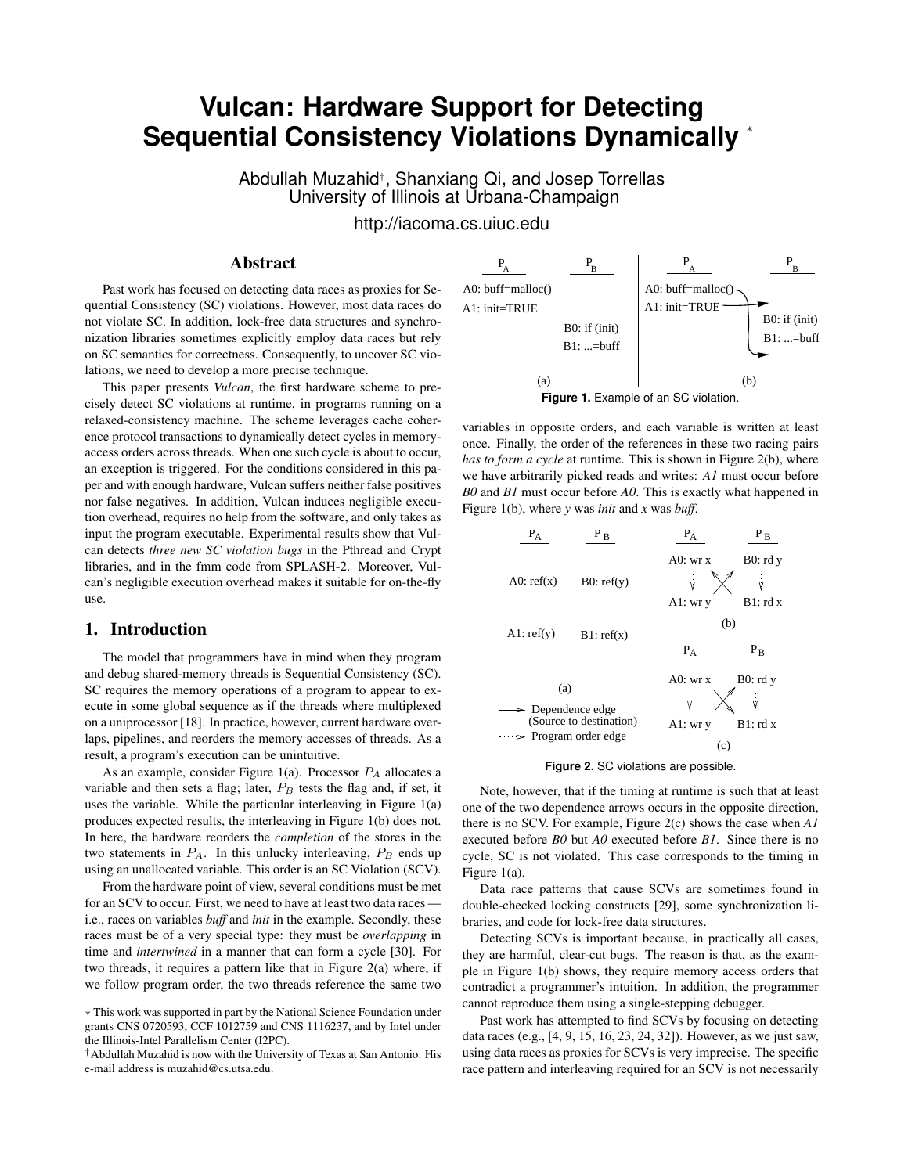# **Vulcan: Hardware Support for Detecting Sequential Consistency Violations Dynamically** <sup>∗</sup>

Abdullah Muzahid† , Shanxiang Qi, and Josep Torrellas University of Illinois at Urbana-Champaign

http://iacoma.cs.uiuc.edu

# Abstract

Past work has focused on detecting data races as proxies for Sequential Consistency (SC) violations. However, most data races do not violate SC. In addition, lock-free data structures and synchronization libraries sometimes explicitly employ data races but rely on SC semantics for correctness. Consequently, to uncover SC violations, we need to develop a more precise technique.

This paper presents *Vulcan*, the first hardware scheme to precisely detect SC violations at runtime, in programs running on a relaxed-consistency machine. The scheme leverages cache coherence protocol transactions to dynamically detect cycles in memoryaccess orders across threads. When one such cycle is about to occur, an exception is triggered. For the conditions considered in this paper and with enough hardware, Vulcan suffers neither false positives nor false negatives. In addition, Vulcan induces negligible execution overhead, requires no help from the software, and only takes as input the program executable. Experimental results show that Vulcan detects *three new SC violation bugs* in the Pthread and Crypt libraries, and in the fmm code from SPLASH-2. Moreover, Vulcan's negligible execution overhead makes it suitable for on-the-fly use.

# 1. Introduction

The model that programmers have in mind when they program and debug shared-memory threads is Sequential Consistency (SC). SC requires the memory operations of a program to appear to execute in some global sequence as if the threads where multiplexed on a uniprocessor [18]. In practice, however, current hardware overlaps, pipelines, and reorders the memory accesses of threads. As a result, a program's execution can be unintuitive.

As an example, consider Figure 1(a). Processor  $P_A$  allocates a variable and then sets a flag; later,  $P_B$  tests the flag and, if set, it uses the variable. While the particular interleaving in Figure 1(a) produces expected results, the interleaving in Figure 1(b) does not. In here, the hardware reorders the *completion* of the stores in the two statements in  $P_A$ . In this unlucky interleaving,  $P_B$  ends up using an unallocated variable. This order is an SC Violation (SCV).

From the hardware point of view, several conditions must be met for an SCV to occur. First, we need to have at least two data races i.e., races on variables *buff* and *init* in the example. Secondly, these races must be of a very special type: they must be *overlapping* in time and *intertwined* in a manner that can form a cycle [30]. For two threads, it requires a pattern like that in Figure 2(a) where, if we follow program order, the two threads reference the same two



variables in opposite orders, and each variable is written at least once. Finally, the order of the references in these two racing pairs *has to form a cycle* at runtime. This is shown in Figure 2(b), where we have arbitrarily picked reads and writes: *A1* must occur before *B0* and *B1* must occur before *A0*. This is exactly what happened in Figure 1(b), where *y* was *init* and *x* was *buff*.



**Figure 2.** SC violations are possible.

Note, however, that if the timing at runtime is such that at least one of the two dependence arrows occurs in the opposite direction, there is no SCV. For example, Figure 2(c) shows the case when *A1* executed before *B0* but *A0* executed before *B1*. Since there is no cycle, SC is not violated. This case corresponds to the timing in Figure 1(a).

Data race patterns that cause SCVs are sometimes found in double-checked locking constructs [29], some synchronization libraries, and code for lock-free data structures.

Detecting SCVs is important because, in practically all cases, they are harmful, clear-cut bugs. The reason is that, as the example in Figure 1(b) shows, they require memory access orders that contradict a programmer's intuition. In addition, the programmer cannot reproduce them using a single-stepping debugger.

Past work has attempted to find SCVs by focusing on detecting data races (e.g., [4, 9, 15, 16, 23, 24, 32]). However, as we just saw, using data races as proxies for SCVs is very imprecise. The specific race pattern and interleaving required for an SCV is not necessarily

<sup>∗</sup> This work was supported in part by the National Science Foundation under grants CNS 0720593, CCF 1012759 and CNS 1116237, and by Intel under the Illinois-Intel Parallelism Center (I2PC).

<sup>†</sup>Abdullah Muzahid is now with the University of Texas at San Antonio. His e-mail address is muzahid@cs.utsa.edu.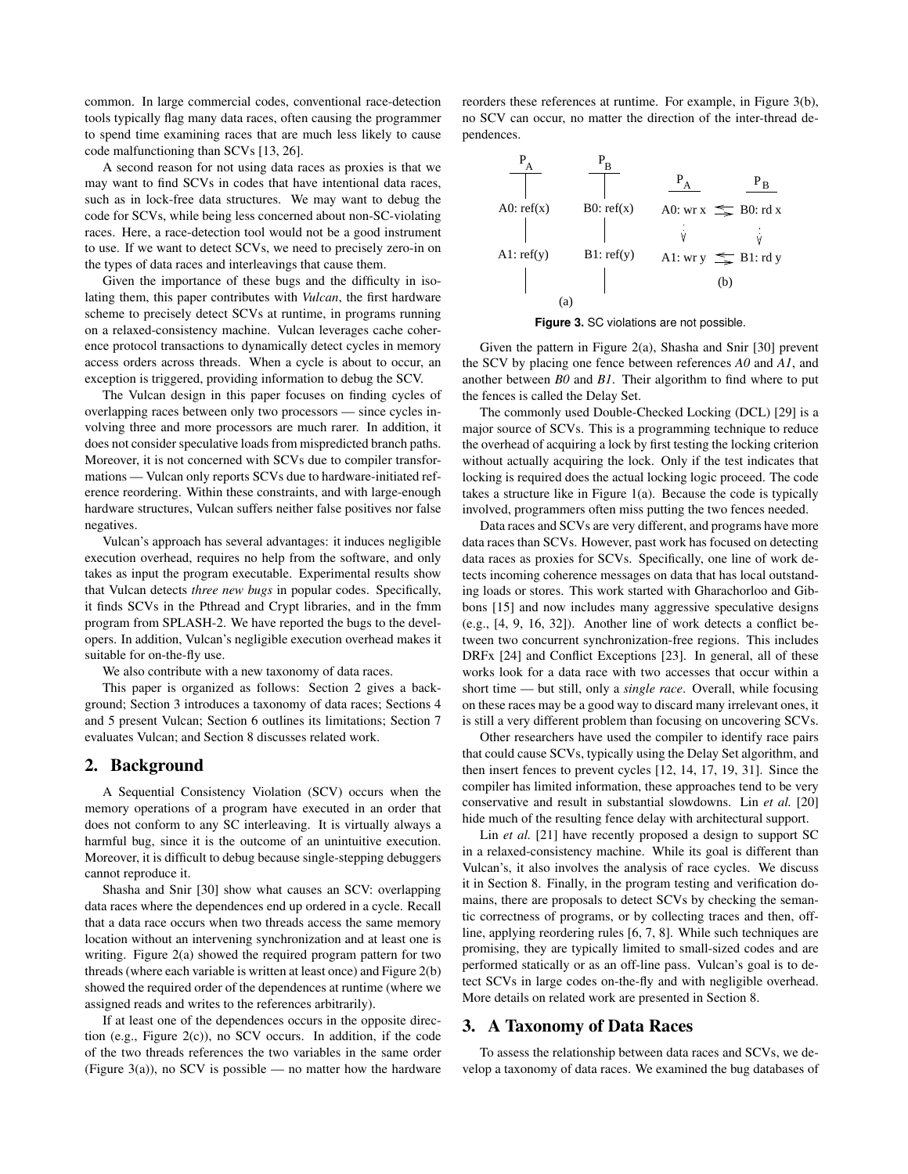common. In large commercial codes, conventional race-detection tools typically flag many data races, often causing the programmer to spend time examining races that are much less likely to cause code malfunctioning than SCVs [13, 26].

A second reason for not using data races as proxies is that we may want to find SCVs in codes that have intentional data races, such as in lock-free data structures. We may want to debug the code for SCVs, while being less concerned about non-SC-violating races. Here, a race-detection tool would not be a good instrument to use. If we want to detect SCVs, we need to precisely zero-in on the types of data races and interleavings that cause them.

Given the importance of these bugs and the difficulty in isolating them, this paper contributes with *Vulcan*, the first hardware scheme to precisely detect SCVs at runtime, in programs running on a relaxed-consistency machine. Vulcan leverages cache coherence protocol transactions to dynamically detect cycles in memory access orders across threads. When a cycle is about to occur, an exception is triggered, providing information to debug the SCV.

The Vulcan design in this paper focuses on finding cycles of overlapping races between only two processors — since cycles involving three and more processors are much rarer. In addition, it does not consider speculative loads from mispredicted branch paths. Moreover, it is not concerned with SCVs due to compiler transformations — Vulcan only reports SCVs due to hardware-initiated reference reordering. Within these constraints, and with large-enough hardware structures, Vulcan suffers neither false positives nor false negatives.

Vulcan's approach has several advantages: it induces negligible execution overhead, requires no help from the software, and only takes as input the program executable. Experimental results show that Vulcan detects *three new bugs* in popular codes. Specifically, it finds SCVs in the Pthread and Crypt libraries, and in the fmm program from SPLASH-2. We have reported the bugs to the developers. In addition, Vulcan's negligible execution overhead makes it suitable for on-the-fly use.

We also contribute with a new taxonomy of data races.

This paper is organized as follows: Section 2 gives a background; Section 3 introduces a taxonomy of data races; Sections 4 and 5 present Vulcan; Section 6 outlines its limitations; Section 7 evaluates Vulcan; and Section 8 discusses related work.

## 2. Background

A Sequential Consistency Violation (SCV) occurs when the memory operations of a program have executed in an order that does not conform to any SC interleaving. It is virtually always a harmful bug, since it is the outcome of an unintuitive execution. Moreover, it is difficult to debug because single-stepping debuggers cannot reproduce it.

Shasha and Snir [30] show what causes an SCV: overlapping data races where the dependences end up ordered in a cycle. Recall that a data race occurs when two threads access the same memory location without an intervening synchronization and at least one is writing. Figure 2(a) showed the required program pattern for two threads (where each variable is written at least once) and Figure 2(b) showed the required order of the dependences at runtime (where we assigned reads and writes to the references arbitrarily).

If at least one of the dependences occurs in the opposite direction (e.g., Figure 2(c)), no SCV occurs. In addition, if the code of the two threads references the two variables in the same order (Figure 3(a)), no SCV is possible — no matter how the hardware reorders these references at runtime. For example, in Figure 3(b), no SCV can occur, no matter the direction of the inter-thread dependences.



**Figure 3.** SC violations are not possible.

Given the pattern in Figure 2(a), Shasha and Snir [30] prevent the SCV by placing one fence between references *A0* and *A1*, and another between *B0* and *B1*. Their algorithm to find where to put the fences is called the Delay Set.

The commonly used Double-Checked Locking (DCL) [29] is a major source of SCVs. This is a programming technique to reduce the overhead of acquiring a lock by first testing the locking criterion without actually acquiring the lock. Only if the test indicates that locking is required does the actual locking logic proceed. The code takes a structure like in Figure 1(a). Because the code is typically involved, programmers often miss putting the two fences needed.

Data races and SCVs are very different, and programs have more data races than SCVs. However, past work has focused on detecting data races as proxies for SCVs. Specifically, one line of work detects incoming coherence messages on data that has local outstanding loads or stores. This work started with Gharachorloo and Gibbons [15] and now includes many aggressive speculative designs (e.g., [4, 9, 16, 32]). Another line of work detects a conflict between two concurrent synchronization-free regions. This includes DRFx [24] and Conflict Exceptions [23]. In general, all of these works look for a data race with two accesses that occur within a short time — but still, only a *single race*. Overall, while focusing on these races may be a good way to discard many irrelevant ones, it is still a very different problem than focusing on uncovering SCVs.

Other researchers have used the compiler to identify race pairs that could cause SCVs, typically using the Delay Set algorithm, and then insert fences to prevent cycles [12, 14, 17, 19, 31]. Since the compiler has limited information, these approaches tend to be very conservative and result in substantial slowdowns. Lin *et al.* [20] hide much of the resulting fence delay with architectural support.

Lin *et al.* [21] have recently proposed a design to support SC in a relaxed-consistency machine. While its goal is different than Vulcan's, it also involves the analysis of race cycles. We discuss it in Section 8. Finally, in the program testing and verification domains, there are proposals to detect SCVs by checking the semantic correctness of programs, or by collecting traces and then, offline, applying reordering rules [6, 7, 8]. While such techniques are promising, they are typically limited to small-sized codes and are performed statically or as an off-line pass. Vulcan's goal is to detect SCVs in large codes on-the-fly and with negligible overhead. More details on related work are presented in Section 8.

# 3. A Taxonomy of Data Races

To assess the relationship between data races and SCVs, we develop a taxonomy of data races. We examined the bug databases of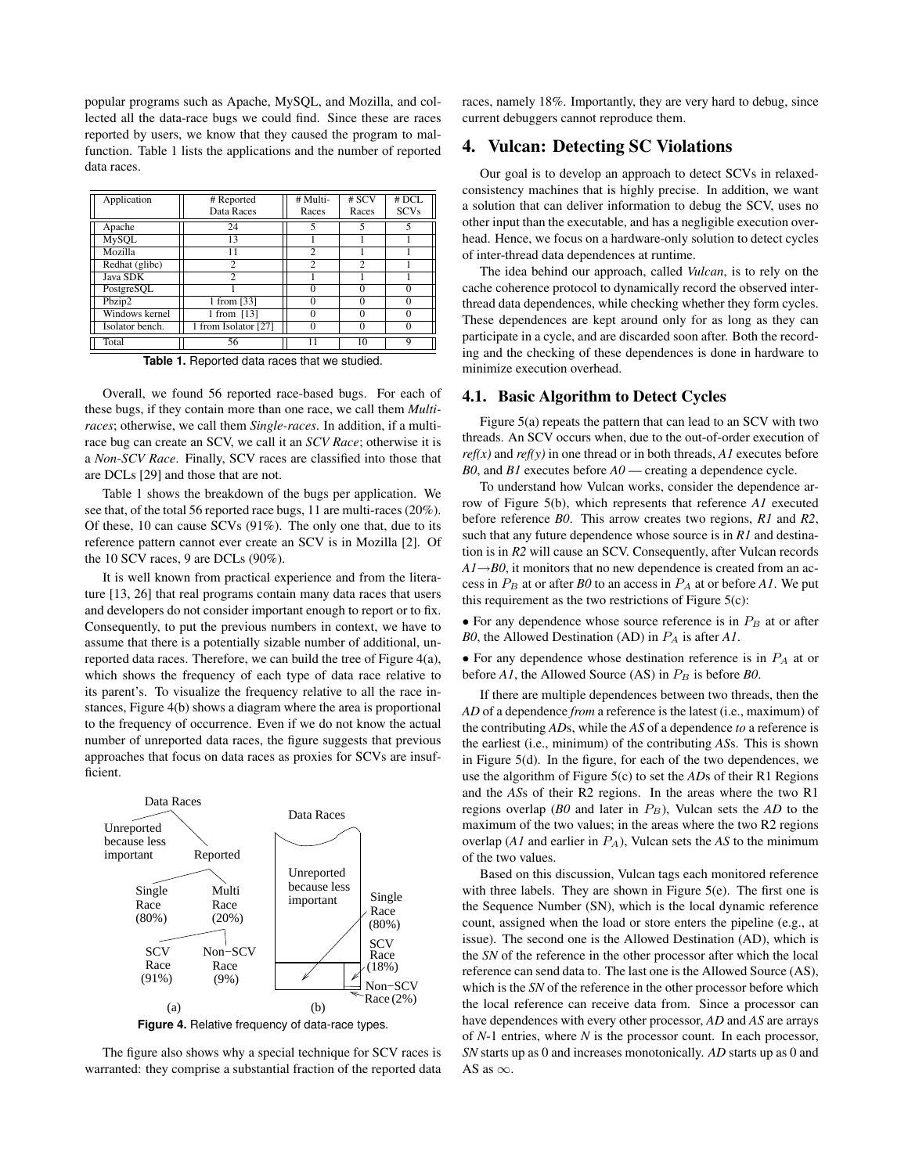popular programs such as Apache, MySQL, and Mozilla, and collected all the data-race bugs we could find. Since these are races reported by users, we know that they caused the program to malfunction. Table 1 lists the applications and the number of reported data races.

| Application     | # Reported           | # Multi-       | $#$ SCV                     | # DCL       |
|-----------------|----------------------|----------------|-----------------------------|-------------|
|                 | Data Races           | Races          | Races                       | <b>SCVs</b> |
| Apache          | 24                   |                |                             | 5           |
| <b>MySQL</b>    | 13                   |                |                             |             |
| Mozilla         | 11                   | $\mathfrak{D}$ |                             |             |
| Redhat (glibc)  |                      |                | $\mathcal{D}_{\mathcal{L}}$ |             |
| Java SDK        | $\mathfrak{D}$       |                |                             |             |
| PostgreSQL      |                      |                |                             |             |
| Pbzip2          | 1 from [33]          |                |                             |             |
| Windows kernel  | 1 from [13]          |                |                             |             |
| Isolator bench. | 1 from Isolator [27] |                | $\Omega$                    |             |
| Total           | 56                   |                | 10                          | a           |

**Table 1.** Reported data races that we studied.

Overall, we found 56 reported race-based bugs. For each of these bugs, if they contain more than one race, we call them *Multiraces*; otherwise, we call them *Single-races*. In addition, if a multirace bug can create an SCV, we call it an *SCV Race*; otherwise it is a *Non-SCV Race*. Finally, SCV races are classified into those that are DCLs [29] and those that are not.

Table 1 shows the breakdown of the bugs per application. We see that, of the total 56 reported race bugs, 11 are multi-races (20%). Of these, 10 can cause SCVs (91%). The only one that, due to its reference pattern cannot ever create an SCV is in Mozilla [2]. Of the 10 SCV races, 9 are DCLs (90%).

It is well known from practical experience and from the literature [13, 26] that real programs contain many data races that users and developers do not consider important enough to report or to fix. Consequently, to put the previous numbers in context, we have to assume that there is a potentially sizable number of additional, unreported data races. Therefore, we can build the tree of Figure 4(a), which shows the frequency of each type of data race relative to its parent's. To visualize the frequency relative to all the race instances, Figure 4(b) shows a diagram where the area is proportional to the frequency of occurrence. Even if we do not know the actual number of unreported data races, the figure suggests that previous approaches that focus on data races as proxies for SCVs are insufficient.



The figure also shows why a special technique for SCV races is warranted: they comprise a substantial fraction of the reported data

races, namely 18%. Importantly, they are very hard to debug, since current debuggers cannot reproduce them.

# 4. Vulcan: Detecting SC Violations

Our goal is to develop an approach to detect SCVs in relaxedconsistency machines that is highly precise. In addition, we want a solution that can deliver information to debug the SCV, uses no other input than the executable, and has a negligible execution overhead. Hence, we focus on a hardware-only solution to detect cycles of inter-thread data dependences at runtime.

The idea behind our approach, called *Vulcan*, is to rely on the cache coherence protocol to dynamically record the observed interthread data dependences, while checking whether they form cycles. These dependences are kept around only for as long as they can participate in a cycle, and are discarded soon after. Both the recording and the checking of these dependences is done in hardware to minimize execution overhead.

## 4.1. Basic Algorithm to Detect Cycles

Figure 5(a) repeats the pattern that can lead to an SCV with two threads. An SCV occurs when, due to the out-of-order execution of *ref(x)* and *ref(y)* in one thread or in both threads, *A1* executes before *B0*, and *B1* executes before *A0* — creating a dependence cycle.

To understand how Vulcan works, consider the dependence arrow of Figure 5(b), which represents that reference *A1* executed before reference *B0*. This arrow creates two regions, *R1* and *R2*, such that any future dependence whose source is in *R1* and destination is in *R2* will cause an SCV. Consequently, after Vulcan records  $A1 \rightarrow B0$ , it monitors that no new dependence is created from an access in  $P_B$  at or after *B0* to an access in  $P_A$  at or before *A1*. We put this requirement as the two restrictions of Figure 5(c):

• For any dependence whose source reference is in  $P_B$  at or after *B0*, the Allowed Destination (AD) in P<sup>A</sup> is after *A1*.

• For any dependence whose destination reference is in  $P_A$  at or before  $AI$ , the Allowed Source (AS) in  $P_B$  is before  $B0$ .

If there are multiple dependences between two threads, then the *AD* of a dependence *from* a reference is the latest (i.e., maximum) of the contributing *AD*s, while the *AS* of a dependence *to* a reference is the earliest (i.e., minimum) of the contributing *AS*s. This is shown in Figure 5(d). In the figure, for each of the two dependences, we use the algorithm of Figure 5(c) to set the *AD*s of their R1 Regions and the *AS*s of their R2 regions. In the areas where the two R1 regions overlap (*B0* and later in  $P_B$ ), Vulcan sets the *AD* to the maximum of the two values; in the areas where the two R2 regions overlap ( $AI$  and earlier in  $P_A$ ), Vulcan sets the  $AS$  to the minimum of the two values.

Based on this discussion, Vulcan tags each monitored reference with three labels. They are shown in Figure 5(e). The first one is the Sequence Number (SN), which is the local dynamic reference count, assigned when the load or store enters the pipeline (e.g., at issue). The second one is the Allowed Destination (AD), which is the *SN* of the reference in the other processor after which the local reference can send data to. The last one is the Allowed Source (AS), which is the *SN* of the reference in the other processor before which the local reference can receive data from. Since a processor can have dependences with every other processor, *AD* and *AS* are arrays of *N*-1 entries, where *N* is the processor count. In each processor, *SN* starts up as 0 and increases monotonically. *AD* starts up as 0 and AS as  $\infty$ .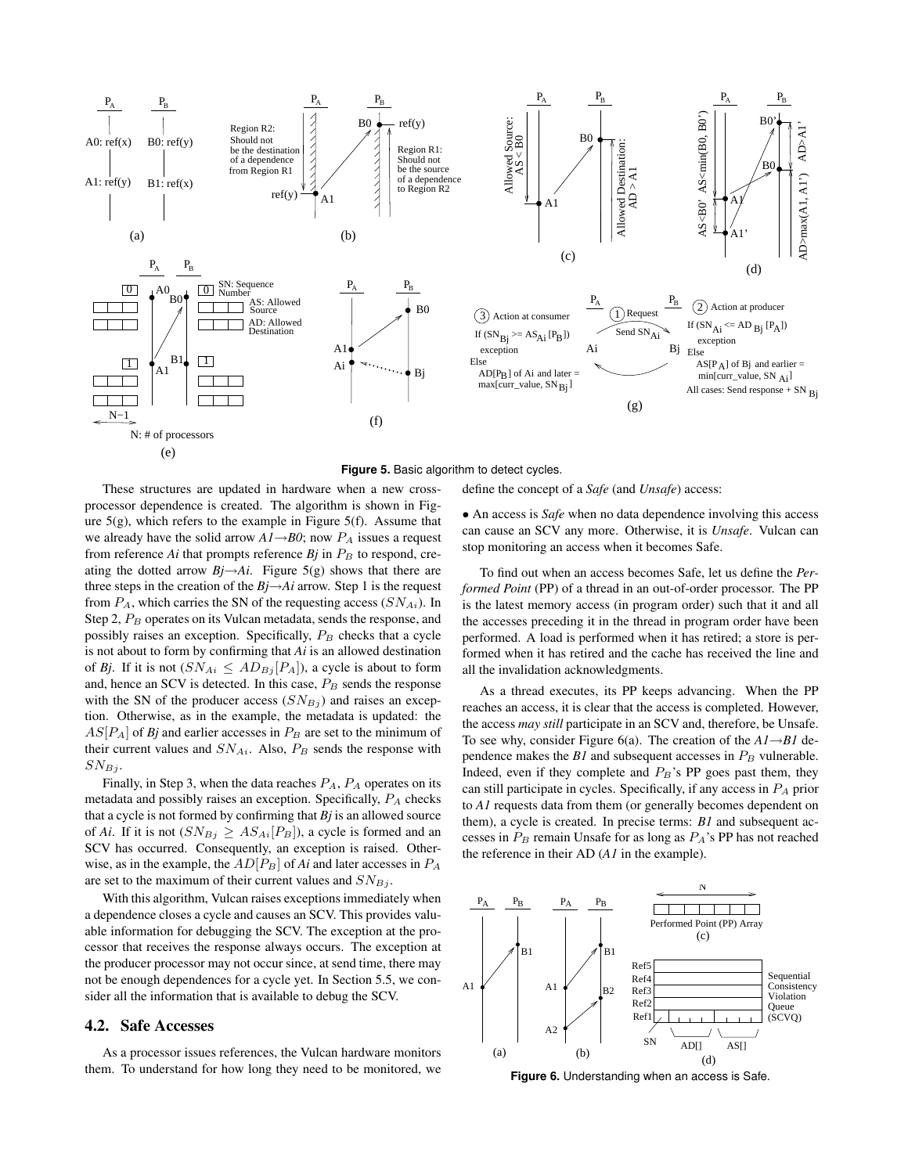

**Figure 5.** Basic algorithm to detect cycles.

These structures are updated in hardware when a new crossprocessor dependence is created. The algorithm is shown in Figure 5(g), which refers to the example in Figure 5(f). Assume that we already have the solid arrow  $AI \rightarrow BO$ ; now  $P_A$  issues a request from reference  $Ai$  that prompts reference  $Bj$  in  $P_B$  to respond, creating the dotted arrow  $Bj \rightarrow Ai$ . Figure 5(g) shows that there are three steps in the creation of the  $Bj \rightarrow Ai$  arrow. Step 1 is the request from  $P_A$ , which carries the SN of the requesting access  $(SN_{Ai})$ . In Step 2,  $P_B$  operates on its Vulcan metadata, sends the response, and possibly raises an exception. Specifically,  $P_B$  checks that a cycle is not about to form by confirming that *Ai* is an allowed destination of *Bj*. If it is not  $(SN_{Ai} \le AD_{Bj}[P_A])$ , a cycle is about to form and, hence an SCV is detected. In this case,  $P_B$  sends the response with the SN of the producer access  $(SN_{B<sub>j</sub>})$  and raises an exception. Otherwise, as in the example, the metadata is updated: the  $AS[P_A]$  of *Bj* and earlier accesses in  $P_B$  are set to the minimum of their current values and  $SN_{Ai}$ . Also,  $P_B$  sends the response with  $SN_{Bj}$ .

Finally, in Step 3, when the data reaches  $P_A$ ,  $P_A$  operates on its metadata and possibly raises an exception. Specifically, P<sup>A</sup> checks that a cycle is not formed by confirming that *Bj* is an allowed source of *Ai*. If it is not  $(SN_{Bj} \geq AS_{Ai}[P_B])$ , a cycle is formed and an SCV has occurred. Consequently, an exception is raised. Otherwise, as in the example, the  $AD[P_B]$  of  $Ai$  and later accesses in  $P_A$ are set to the maximum of their current values and  $SN_{Bj}$ .

With this algorithm, Vulcan raises exceptions immediately when a dependence closes a cycle and causes an SCV. This provides valuable information for debugging the SCV. The exception at the processor that receives the response always occurs. The exception at the producer processor may not occur since, at send time, there may not be enough dependences for a cycle yet. In Section 5.5, we consider all the information that is available to debug the SCV.

# 4.2. Safe Accesses

As a processor issues references, the Vulcan hardware monitors them. To understand for how long they need to be monitored, we define the concept of a *Safe* (and *Unsafe*) access:

• An access is *Safe* when no data dependence involving this access can cause an SCV any more. Otherwise, it is *Unsafe*. Vulcan can stop monitoring an access when it becomes Safe.

To find out when an access becomes Safe, let us define the *Performed Point* (PP) of a thread in an out-of-order processor. The PP is the latest memory access (in program order) such that it and all the accesses preceding it in the thread in program order have been performed. A load is performed when it has retired; a store is performed when it has retired and the cache has received the line and all the invalidation acknowledgments.

As a thread executes, its PP keeps advancing. When the PP reaches an access, it is clear that the access is completed. However, the access *may still* participate in an SCV and, therefore, be Unsafe. To see why, consider Figure 6(a). The creation of the *A1*→*B1* dependence makes the  $BI$  and subsequent accesses in  $P_B$  vulnerable. Indeed, even if they complete and  $P_B$ 's PP goes past them, they can still participate in cycles. Specifically, if any access in  $P_A$  prior to *A1* requests data from them (or generally becomes dependent on them), a cycle is created. In precise terms: *B1* and subsequent accesses in  $P_B$  remain Unsafe for as long as  $P_A$ 's PP has not reached the reference in their AD (*A1* in the example).



**Figure 6.** Understanding when an access is Safe.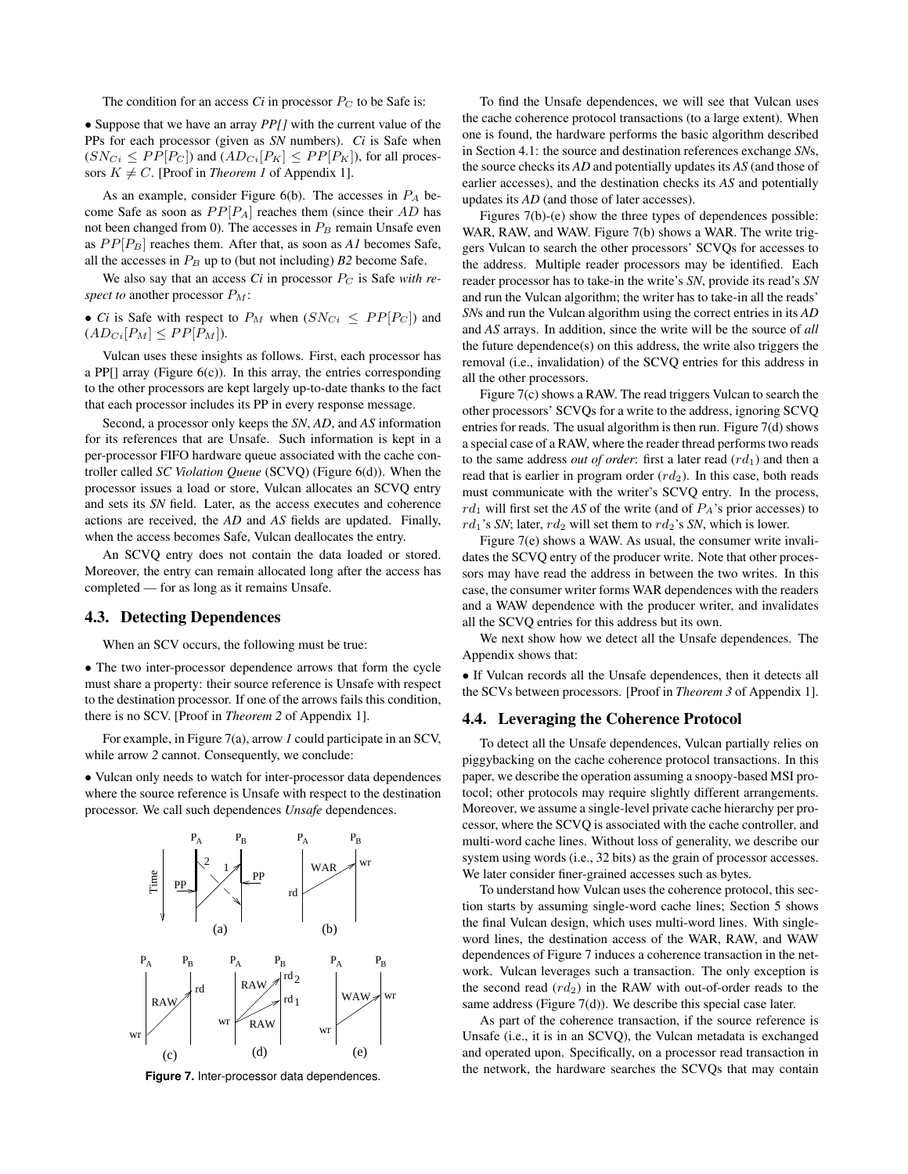The condition for an access  $Ci$  in processor  $P_C$  to be Safe is:

• Suppose that we have an array *PP[]* with the current value of the PPs for each processor (given as *SN* numbers). *Ci* is Safe when  $(SN_{Ci} \leq PP[P_C])$  and  $(AD_{Ci}[P_K] \leq PP[P_K])$ , for all processors  $K \neq C$ . [Proof in *Theorem 1* of Appendix 1].

As an example, consider Figure 6(b). The accesses in  $P_A$  become Safe as soon as  $PP[P_A]$  reaches them (since their  $AD$  has not been changed from 0). The accesses in  $P_B$  remain Unsafe even as  $PP[P_B]$  reaches them. After that, as soon as  $AI$  becomes Safe, all the accesses in  $P_B$  up to (but not including)  $B2$  become Safe.

We also say that an access  $Ci$  in processor  $P_C$  is Safe with re*spect to* another processor  $P_M$ :

• *Ci* is Safe with respect to  $P_M$  when  $(SN_{Ci} \leq PP[P_C])$  and  $(AD_{Ci}[P_M] \leq PP[P_M]).$ 

Vulcan uses these insights as follows. First, each processor has a PP[] array (Figure 6(c)). In this array, the entries corresponding to the other processors are kept largely up-to-date thanks to the fact that each processor includes its PP in every response message.

Second, a processor only keeps the *SN*, *AD*, and *AS* information for its references that are Unsafe. Such information is kept in a per-processor FIFO hardware queue associated with the cache controller called *SC Violation Queue* (SCVQ) (Figure 6(d)). When the processor issues a load or store, Vulcan allocates an SCVQ entry and sets its *SN* field. Later, as the access executes and coherence actions are received, the *AD* and *AS* fields are updated. Finally, when the access becomes Safe, Vulcan deallocates the entry.

An SCVQ entry does not contain the data loaded or stored. Moreover, the entry can remain allocated long after the access has completed — for as long as it remains Unsafe.

## 4.3. Detecting Dependences

When an SCV occurs, the following must be true:

• The two inter-processor dependence arrows that form the cycle must share a property: their source reference is Unsafe with respect to the destination processor. If one of the arrows fails this condition, there is no SCV. [Proof in *Theorem 2* of Appendix 1].

For example, in Figure 7(a), arrow *1* could participate in an SCV, while arrow 2 cannot. Consequently, we conclude:

• Vulcan only needs to watch for inter-processor data dependences where the source reference is Unsafe with respect to the destination processor. We call such dependences *Unsafe* dependences.



**Figure 7.** Inter-processor data dependences.

To find the Unsafe dependences, we will see that Vulcan uses the cache coherence protocol transactions (to a large extent). When one is found, the hardware performs the basic algorithm described in Section 4.1: the source and destination references exchange *SN*s, the source checks its *AD* and potentially updates its *AS* (and those of earlier accesses), and the destination checks its *AS* and potentially updates its *AD* (and those of later accesses).

Figures 7(b)-(e) show the three types of dependences possible: WAR, RAW, and WAW. Figure 7(b) shows a WAR. The write triggers Vulcan to search the other processors' SCVQs for accesses to the address. Multiple reader processors may be identified. Each reader processor has to take-in the write's *SN*, provide its read's *SN* and run the Vulcan algorithm; the writer has to take-in all the reads' *SN*s and run the Vulcan algorithm using the correct entries in its *AD* and *AS* arrays. In addition, since the write will be the source of *all* the future dependence(s) on this address, the write also triggers the removal (i.e., invalidation) of the SCVQ entries for this address in all the other processors.

Figure 7(c) shows a RAW. The read triggers Vulcan to search the other processors' SCVQs for a write to the address, ignoring SCVQ entries for reads. The usual algorithm is then run. Figure 7(d) shows a special case of a RAW, where the reader thread performs two reads to the same address *out of order*: first a later read  $(rd<sub>1</sub>)$  and then a read that is earlier in program order  $(rd<sub>2</sub>)$ . In this case, both reads must communicate with the writer's SCVQ entry. In the process,  $rd_1$  will first set the *AS* of the write (and of  $P_A$ 's prior accesses) to  $rd_1$ 's *SN*; later,  $rd_2$  will set them to  $rd_2$ 's *SN*, which is lower.

Figure 7(e) shows a WAW. As usual, the consumer write invalidates the SCVQ entry of the producer write. Note that other processors may have read the address in between the two writes. In this case, the consumer writer forms WAR dependences with the readers and a WAW dependence with the producer writer, and invalidates all the SCVQ entries for this address but its own.

We next show how we detect all the Unsafe dependences. The Appendix shows that:

• If Vulcan records all the Unsafe dependences, then it detects all the SCVs between processors. [Proof in *Theorem 3* of Appendix 1].

#### 4.4. Leveraging the Coherence Protocol

To detect all the Unsafe dependences, Vulcan partially relies on piggybacking on the cache coherence protocol transactions. In this paper, we describe the operation assuming a snoopy-based MSI protocol; other protocols may require slightly different arrangements. Moreover, we assume a single-level private cache hierarchy per processor, where the SCVQ is associated with the cache controller, and multi-word cache lines. Without loss of generality, we describe our system using words (i.e., 32 bits) as the grain of processor accesses. We later consider finer-grained accesses such as bytes.

To understand how Vulcan uses the coherence protocol, this section starts by assuming single-word cache lines; Section 5 shows the final Vulcan design, which uses multi-word lines. With singleword lines, the destination access of the WAR, RAW, and WAW dependences of Figure 7 induces a coherence transaction in the network. Vulcan leverages such a transaction. The only exception is the second read  $(r\dot{d}_2)$  in the RAW with out-of-order reads to the same address (Figure 7(d)). We describe this special case later.

As part of the coherence transaction, if the source reference is Unsafe (i.e., it is in an SCVQ), the Vulcan metadata is exchanged and operated upon. Specifically, on a processor read transaction in the network, the hardware searches the SCVQs that may contain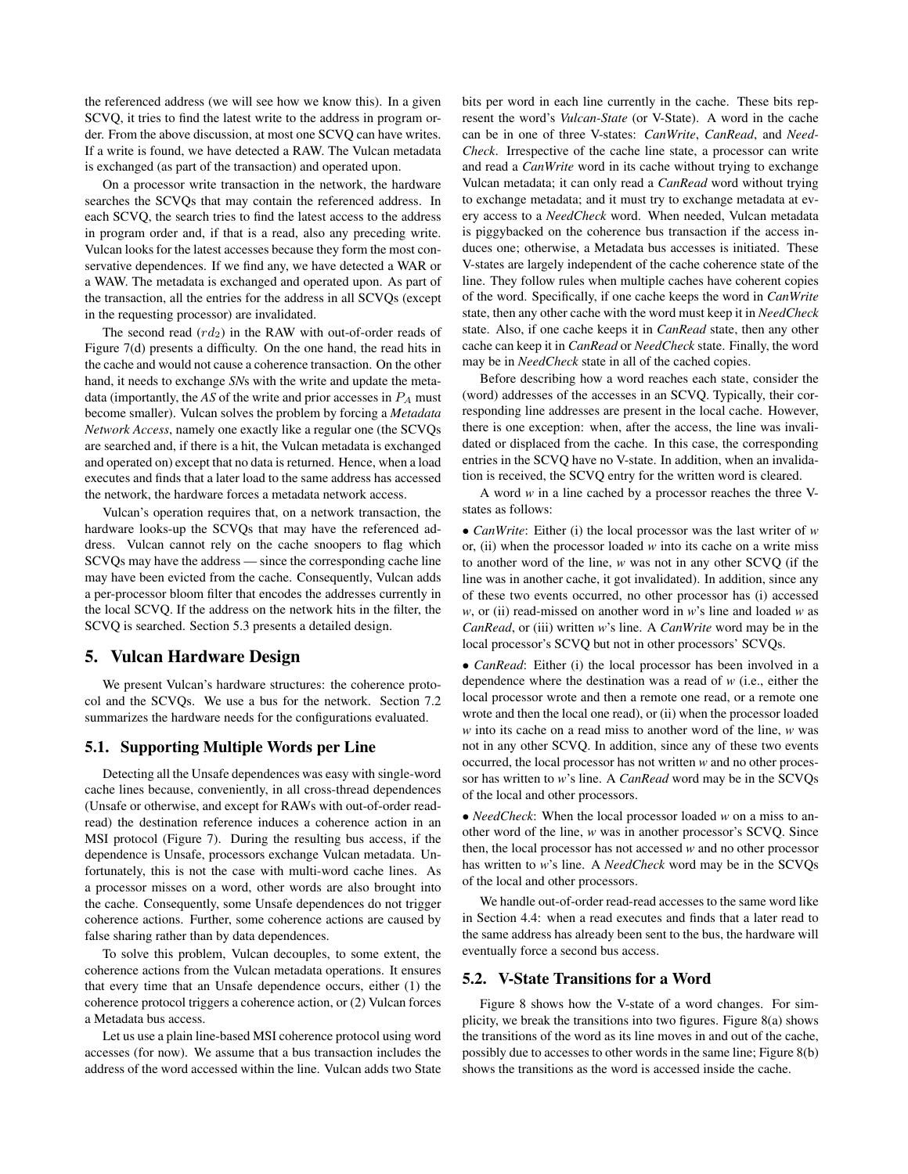the referenced address (we will see how we know this). In a given SCVQ, it tries to find the latest write to the address in program order. From the above discussion, at most one SCVQ can have writes. If a write is found, we have detected a RAW. The Vulcan metadata is exchanged (as part of the transaction) and operated upon.

On a processor write transaction in the network, the hardware searches the SCVQs that may contain the referenced address. In each SCVQ, the search tries to find the latest access to the address in program order and, if that is a read, also any preceding write. Vulcan looks for the latest accesses because they form the most conservative dependences. If we find any, we have detected a WAR or a WAW. The metadata is exchanged and operated upon. As part of the transaction, all the entries for the address in all SCVQs (except in the requesting processor) are invalidated.

The second read  $(rd_2)$  in the RAW with out-of-order reads of Figure 7(d) presents a difficulty. On the one hand, the read hits in the cache and would not cause a coherence transaction. On the other hand, it needs to exchange *SN*s with the write and update the metadata (importantly, the  $AS$  of the write and prior accesses in  $P_A$  must become smaller). Vulcan solves the problem by forcing a *Metadata Network Access*, namely one exactly like a regular one (the SCVQs are searched and, if there is a hit, the Vulcan metadata is exchanged and operated on) except that no data is returned. Hence, when a load executes and finds that a later load to the same address has accessed the network, the hardware forces a metadata network access.

Vulcan's operation requires that, on a network transaction, the hardware looks-up the SCVQs that may have the referenced address. Vulcan cannot rely on the cache snoopers to flag which SCVQs may have the address — since the corresponding cache line may have been evicted from the cache. Consequently, Vulcan adds a per-processor bloom filter that encodes the addresses currently in the local SCVQ. If the address on the network hits in the filter, the SCVQ is searched. Section 5.3 presents a detailed design.

# 5. Vulcan Hardware Design

We present Vulcan's hardware structures: the coherence protocol and the SCVQs. We use a bus for the network. Section 7.2 summarizes the hardware needs for the configurations evaluated.

## 5.1. Supporting Multiple Words per Line

Detecting all the Unsafe dependences was easy with single-word cache lines because, conveniently, in all cross-thread dependences (Unsafe or otherwise, and except for RAWs with out-of-order readread) the destination reference induces a coherence action in an MSI protocol (Figure 7). During the resulting bus access, if the dependence is Unsafe, processors exchange Vulcan metadata. Unfortunately, this is not the case with multi-word cache lines. As a processor misses on a word, other words are also brought into the cache. Consequently, some Unsafe dependences do not trigger coherence actions. Further, some coherence actions are caused by false sharing rather than by data dependences.

To solve this problem, Vulcan decouples, to some extent, the coherence actions from the Vulcan metadata operations. It ensures that every time that an Unsafe dependence occurs, either (1) the coherence protocol triggers a coherence action, or (2) Vulcan forces a Metadata bus access.

Let us use a plain line-based MSI coherence protocol using word accesses (for now). We assume that a bus transaction includes the address of the word accessed within the line. Vulcan adds two State bits per word in each line currently in the cache. These bits represent the word's *Vulcan-State* (or V-State). A word in the cache can be in one of three V-states: *CanWrite*, *CanRead*, and *Need-Check*. Irrespective of the cache line state, a processor can write and read a *CanWrite* word in its cache without trying to exchange Vulcan metadata; it can only read a *CanRead* word without trying to exchange metadata; and it must try to exchange metadata at every access to a *NeedCheck* word. When needed, Vulcan metadata is piggybacked on the coherence bus transaction if the access induces one; otherwise, a Metadata bus accesses is initiated. These V-states are largely independent of the cache coherence state of the line. They follow rules when multiple caches have coherent copies of the word. Specifically, if one cache keeps the word in *CanWrite* state, then any other cache with the word must keep it in *NeedCheck* state. Also, if one cache keeps it in *CanRead* state, then any other cache can keep it in *CanRead* or *NeedCheck* state. Finally, the word may be in *NeedCheck* state in all of the cached copies.

Before describing how a word reaches each state, consider the (word) addresses of the accesses in an SCVQ. Typically, their corresponding line addresses are present in the local cache. However, there is one exception: when, after the access, the line was invalidated or displaced from the cache. In this case, the corresponding entries in the SCVQ have no V-state. In addition, when an invalidation is received, the SCVQ entry for the written word is cleared.

A word *w* in a line cached by a processor reaches the three Vstates as follows:

• *CanWrite*: Either (i) the local processor was the last writer of *w* or, (ii) when the processor loaded *w* into its cache on a write miss to another word of the line, *w* was not in any other SCVQ (if the line was in another cache, it got invalidated). In addition, since any of these two events occurred, no other processor has (i) accessed *w*, or (ii) read-missed on another word in *w*'s line and loaded *w* as *CanRead*, or (iii) written *w*'s line. A *CanWrite* word may be in the local processor's SCVQ but not in other processors' SCVQs.

• *CanRead*: Either (i) the local processor has been involved in a dependence where the destination was a read of *w* (i.e., either the local processor wrote and then a remote one read, or a remote one wrote and then the local one read), or (ii) when the processor loaded *w* into its cache on a read miss to another word of the line, *w* was not in any other SCVQ. In addition, since any of these two events occurred, the local processor has not written *w* and no other processor has written to *w*'s line. A *CanRead* word may be in the SCVQs of the local and other processors.

• *NeedCheck*: When the local processor loaded *w* on a miss to another word of the line, *w* was in another processor's SCVQ. Since then, the local processor has not accessed *w* and no other processor has written to *w*'s line. A *NeedCheck* word may be in the SCVQs of the local and other processors.

We handle out-of-order read-read accesses to the same word like in Section 4.4: when a read executes and finds that a later read to the same address has already been sent to the bus, the hardware will eventually force a second bus access.

# 5.2. V-State Transitions for a Word

Figure 8 shows how the V-state of a word changes. For simplicity, we break the transitions into two figures. Figure 8(a) shows the transitions of the word as its line moves in and out of the cache, possibly due to accesses to other words in the same line; Figure 8(b) shows the transitions as the word is accessed inside the cache.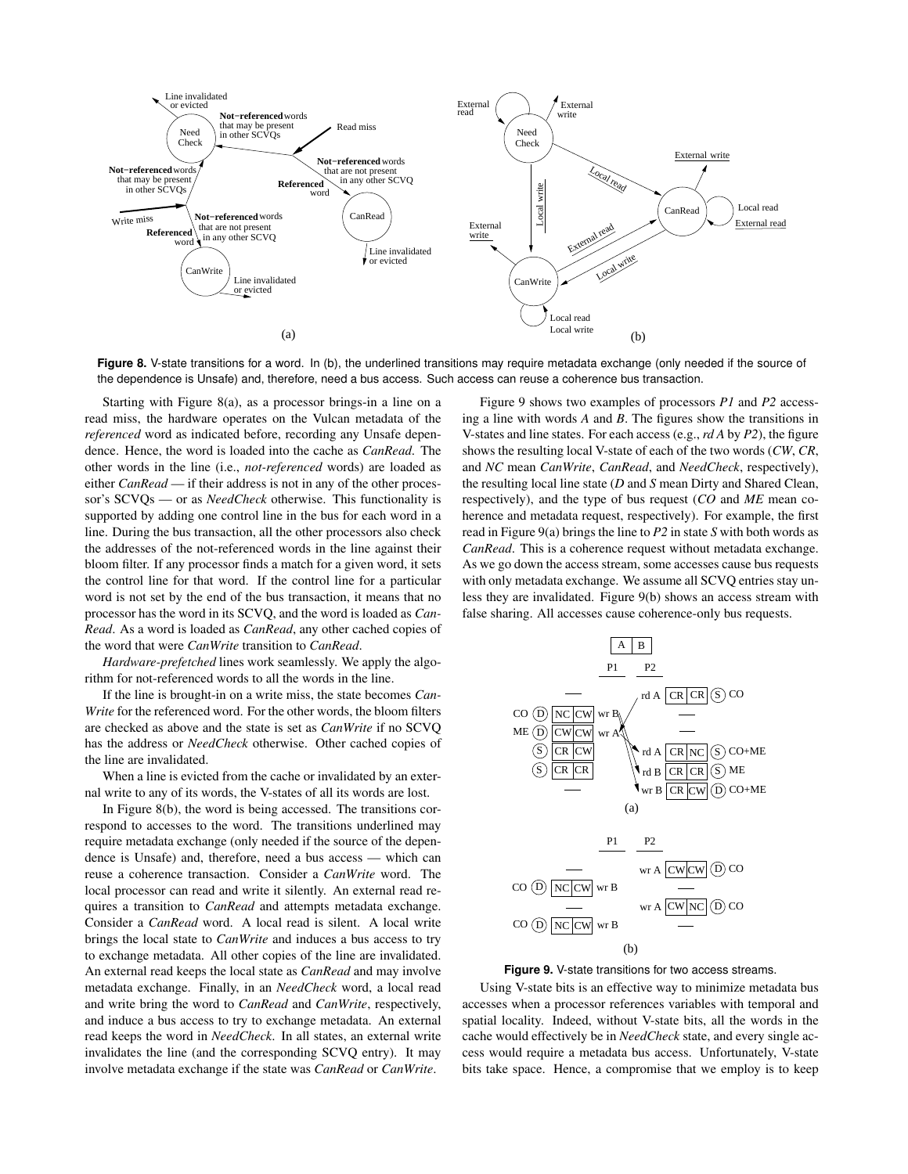

**Figure 8.** V-state transitions for a word. In (b), the underlined transitions may require metadata exchange (only needed if the source of the dependence is Unsafe) and, therefore, need a bus access. Such access can reuse a coherence bus transaction.

Starting with Figure 8(a), as a processor brings-in a line on a read miss, the hardware operates on the Vulcan metadata of the *referenced* word as indicated before, recording any Unsafe dependence. Hence, the word is loaded into the cache as *CanRead*. The other words in the line (i.e., *not-referenced* words) are loaded as either *CanRead* — if their address is not in any of the other processor's SCVQs — or as *NeedCheck* otherwise. This functionality is supported by adding one control line in the bus for each word in a line. During the bus transaction, all the other processors also check the addresses of the not-referenced words in the line against their bloom filter. If any processor finds a match for a given word, it sets the control line for that word. If the control line for a particular word is not set by the end of the bus transaction, it means that no processor has the word in its SCVQ, and the word is loaded as *Can-Read*. As a word is loaded as *CanRead*, any other cached copies of the word that were *CanWrite* transition to *CanRead*.

*Hardware-prefetched* lines work seamlessly. We apply the algorithm for not-referenced words to all the words in the line.

If the line is brought-in on a write miss, the state becomes *Can-Write* for the referenced word. For the other words, the bloom filters are checked as above and the state is set as *CanWrite* if no SCVQ has the address or *NeedCheck* otherwise. Other cached copies of the line are invalidated.

When a line is evicted from the cache or invalidated by an external write to any of its words, the V-states of all its words are lost.

In Figure 8(b), the word is being accessed. The transitions correspond to accesses to the word. The transitions underlined may require metadata exchange (only needed if the source of the dependence is Unsafe) and, therefore, need a bus access — which can reuse a coherence transaction. Consider a *CanWrite* word. The local processor can read and write it silently. An external read requires a transition to *CanRead* and attempts metadata exchange. Consider a *CanRead* word. A local read is silent. A local write brings the local state to *CanWrite* and induces a bus access to try to exchange metadata. All other copies of the line are invalidated. An external read keeps the local state as *CanRead* and may involve metadata exchange. Finally, in an *NeedCheck* word, a local read and write bring the word to *CanRead* and *CanWrite*, respectively, and induce a bus access to try to exchange metadata. An external read keeps the word in *NeedCheck*. In all states, an external write invalidates the line (and the corresponding SCVQ entry). It may involve metadata exchange if the state was *CanRead* or *CanWrite*.

Figure 9 shows two examples of processors *P1* and *P2* accessing a line with words *A* and *B*. The figures show the transitions in V-states and line states. For each access (e.g., *rd A* by *P2*), the figure shows the resulting local V-state of each of the two words (*CW*, *CR*, and *NC* mean *CanWrite*, *CanRead*, and *NeedCheck*, respectively), the resulting local line state (*D* and *S* mean Dirty and Shared Clean, respectively), and the type of bus request (*CO* and *ME* mean coherence and metadata request, respectively). For example, the first read in Figure 9(a) brings the line to *P2* in state *S* with both words as *CanRead*. This is a coherence request without metadata exchange. As we go down the access stream, some accesses cause bus requests with only metadata exchange. We assume all SCVQ entries stay unless they are invalidated. Figure 9(b) shows an access stream with false sharing. All accesses cause coherence-only bus requests.





Using V-state bits is an effective way to minimize metadata bus accesses when a processor references variables with temporal and spatial locality. Indeed, without V-state bits, all the words in the cache would effectively be in *NeedCheck* state, and every single access would require a metadata bus access. Unfortunately, V-state bits take space. Hence, a compromise that we employ is to keep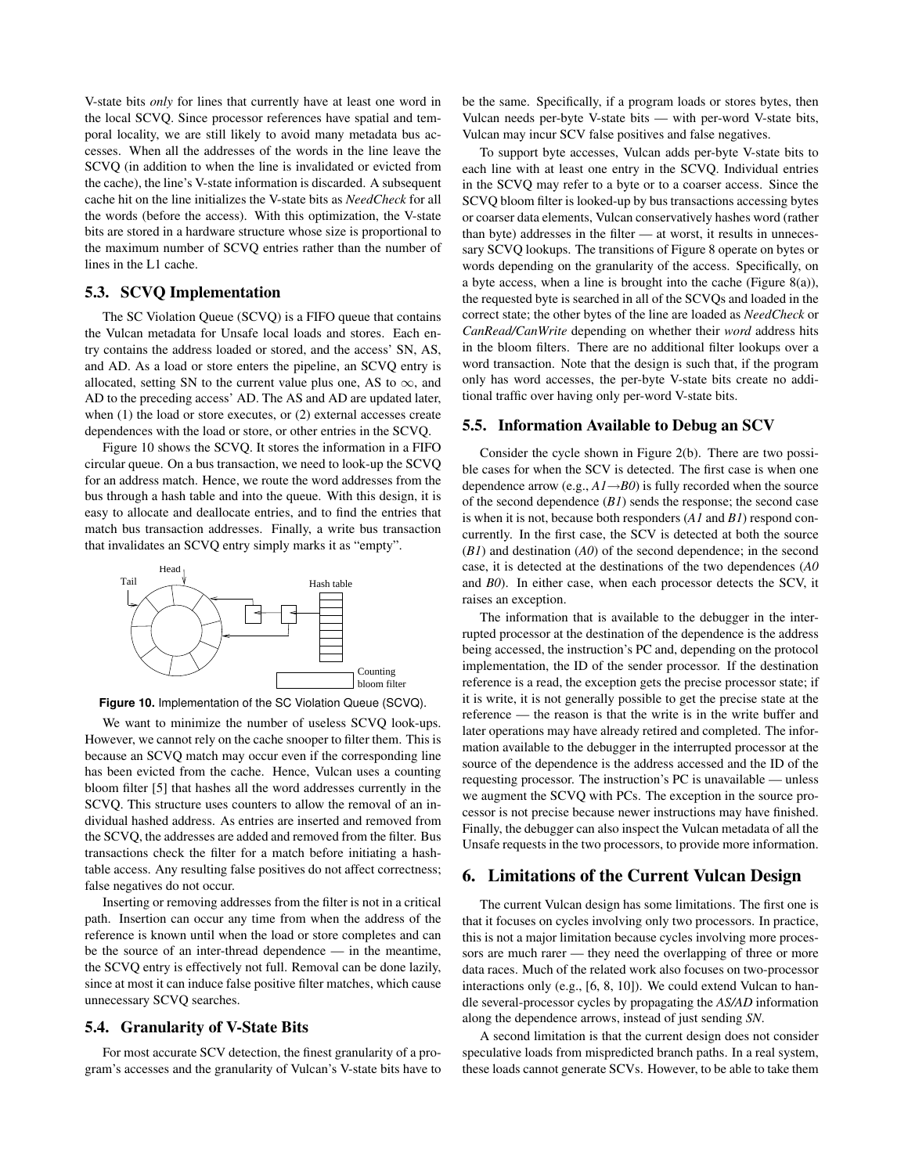V-state bits *only* for lines that currently have at least one word in the local SCVQ. Since processor references have spatial and temporal locality, we are still likely to avoid many metadata bus accesses. When all the addresses of the words in the line leave the SCVQ (in addition to when the line is invalidated or evicted from the cache), the line's V-state information is discarded. A subsequent cache hit on the line initializes the V-state bits as *NeedCheck* for all the words (before the access). With this optimization, the V-state bits are stored in a hardware structure whose size is proportional to the maximum number of SCVQ entries rather than the number of lines in the L1 cache.

# 5.3. SCVQ Implementation

The SC Violation Queue (SCVQ) is a FIFO queue that contains the Vulcan metadata for Unsafe local loads and stores. Each entry contains the address loaded or stored, and the access' SN, AS, and AD. As a load or store enters the pipeline, an SCVQ entry is allocated, setting SN to the current value plus one, AS to  $\infty$ , and AD to the preceding access' AD. The AS and AD are updated later, when (1) the load or store executes, or (2) external accesses create dependences with the load or store, or other entries in the SCVQ.

Figure 10 shows the SCVQ. It stores the information in a FIFO circular queue. On a bus transaction, we need to look-up the SCVQ for an address match. Hence, we route the word addresses from the bus through a hash table and into the queue. With this design, it is easy to allocate and deallocate entries, and to find the entries that match bus transaction addresses. Finally, a write bus transaction that invalidates an SCVQ entry simply marks it as "empty".



**Figure 10.** Implementation of the SC Violation Queue (SCVQ).

We want to minimize the number of useless SCVQ look-ups. However, we cannot rely on the cache snooper to filter them. This is because an SCVQ match may occur even if the corresponding line has been evicted from the cache. Hence, Vulcan uses a counting bloom filter [5] that hashes all the word addresses currently in the SCVQ. This structure uses counters to allow the removal of an individual hashed address. As entries are inserted and removed from the SCVQ, the addresses are added and removed from the filter. Bus transactions check the filter for a match before initiating a hashtable access. Any resulting false positives do not affect correctness; false negatives do not occur.

Inserting or removing addresses from the filter is not in a critical path. Insertion can occur any time from when the address of the reference is known until when the load or store completes and can be the source of an inter-thread dependence — in the meantime, the SCVQ entry is effectively not full. Removal can be done lazily, since at most it can induce false positive filter matches, which cause unnecessary SCVQ searches.

#### 5.4. Granularity of V-State Bits

For most accurate SCV detection, the finest granularity of a program's accesses and the granularity of Vulcan's V-state bits have to be the same. Specifically, if a program loads or stores bytes, then Vulcan needs per-byte V-state bits — with per-word V-state bits, Vulcan may incur SCV false positives and false negatives.

To support byte accesses, Vulcan adds per-byte V-state bits to each line with at least one entry in the SCVQ. Individual entries in the SCVQ may refer to a byte or to a coarser access. Since the SCVQ bloom filter is looked-up by bus transactions accessing bytes or coarser data elements, Vulcan conservatively hashes word (rather than byte) addresses in the filter — at worst, it results in unnecessary SCVQ lookups. The transitions of Figure 8 operate on bytes or words depending on the granularity of the access. Specifically, on a byte access, when a line is brought into the cache (Figure 8(a)), the requested byte is searched in all of the SCVQs and loaded in the correct state; the other bytes of the line are loaded as *NeedCheck* or *CanRead/CanWrite* depending on whether their *word* address hits in the bloom filters. There are no additional filter lookups over a word transaction. Note that the design is such that, if the program only has word accesses, the per-byte V-state bits create no additional traffic over having only per-word V-state bits.

#### 5.5. Information Available to Debug an SCV

Consider the cycle shown in Figure 2(b). There are two possible cases for when the SCV is detected. The first case is when one dependence arrow (e.g.,  $AI \rightarrow BO$ ) is fully recorded when the source of the second dependence (*B1*) sends the response; the second case is when it is not, because both responders (*A1* and *B1*) respond concurrently. In the first case, the SCV is detected at both the source (*B1*) and destination (*A0*) of the second dependence; in the second case, it is detected at the destinations of the two dependences (*A0* and *B0*). In either case, when each processor detects the SCV, it raises an exception.

The information that is available to the debugger in the interrupted processor at the destination of the dependence is the address being accessed, the instruction's PC and, depending on the protocol implementation, the ID of the sender processor. If the destination reference is a read, the exception gets the precise processor state; if it is write, it is not generally possible to get the precise state at the reference — the reason is that the write is in the write buffer and later operations may have already retired and completed. The information available to the debugger in the interrupted processor at the source of the dependence is the address accessed and the ID of the requesting processor. The instruction's PC is unavailable — unless we augment the SCVQ with PCs. The exception in the source processor is not precise because newer instructions may have finished. Finally, the debugger can also inspect the Vulcan metadata of all the Unsafe requests in the two processors, to provide more information.

## 6. Limitations of the Current Vulcan Design

The current Vulcan design has some limitations. The first one is that it focuses on cycles involving only two processors. In practice, this is not a major limitation because cycles involving more processors are much rarer — they need the overlapping of three or more data races. Much of the related work also focuses on two-processor interactions only (e.g., [6, 8, 10]). We could extend Vulcan to handle several-processor cycles by propagating the *AS/AD* information along the dependence arrows, instead of just sending *SN*.

A second limitation is that the current design does not consider speculative loads from mispredicted branch paths. In a real system, these loads cannot generate SCVs. However, to be able to take them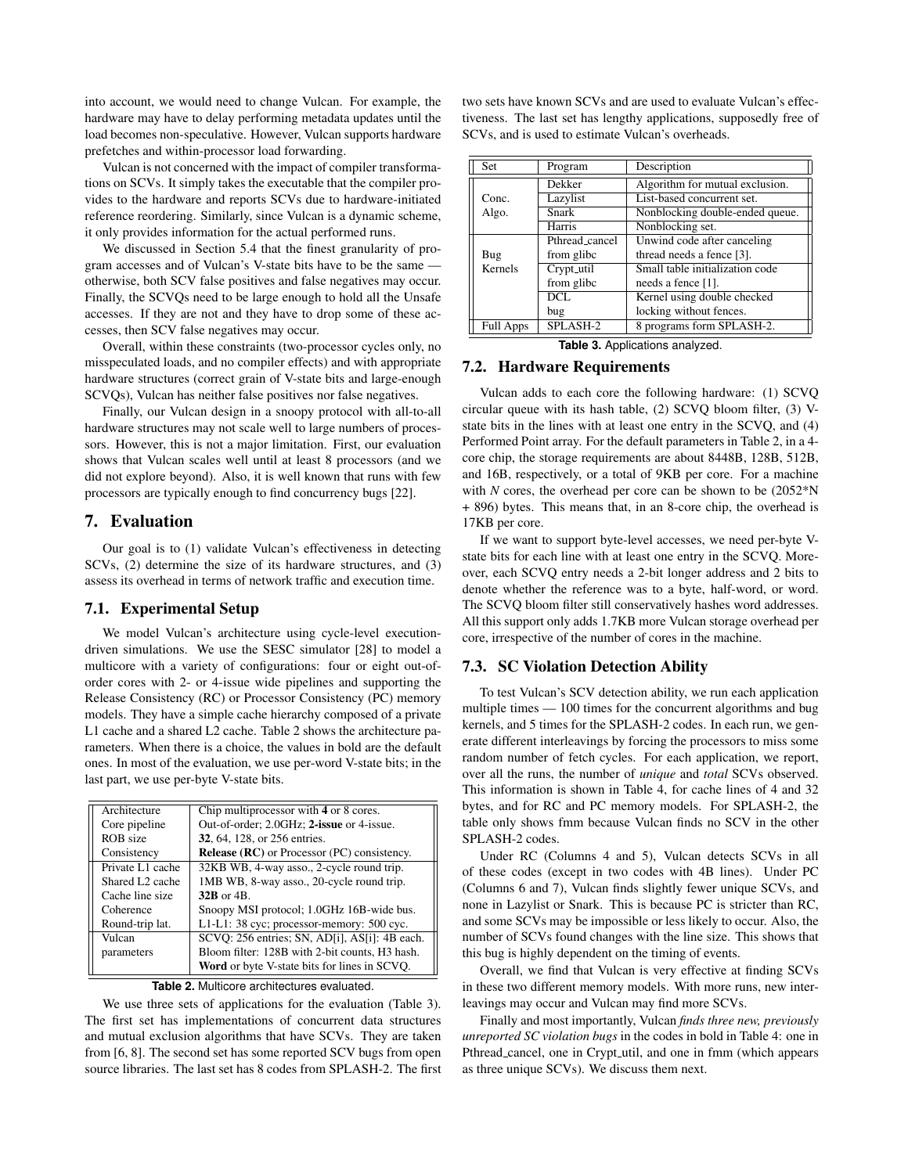into account, we would need to change Vulcan. For example, the hardware may have to delay performing metadata updates until the load becomes non-speculative. However, Vulcan supports hardware prefetches and within-processor load forwarding.

Vulcan is not concerned with the impact of compiler transformations on SCVs. It simply takes the executable that the compiler provides to the hardware and reports SCVs due to hardware-initiated reference reordering. Similarly, since Vulcan is a dynamic scheme, it only provides information for the actual performed runs.

We discussed in Section 5.4 that the finest granularity of program accesses and of Vulcan's V-state bits have to be the same otherwise, both SCV false positives and false negatives may occur. Finally, the SCVQs need to be large enough to hold all the Unsafe accesses. If they are not and they have to drop some of these accesses, then SCV false negatives may occur.

Overall, within these constraints (two-processor cycles only, no misspeculated loads, and no compiler effects) and with appropriate hardware structures (correct grain of V-state bits and large-enough SCVQs), Vulcan has neither false positives nor false negatives.

Finally, our Vulcan design in a snoopy protocol with all-to-all hardware structures may not scale well to large numbers of processors. However, this is not a major limitation. First, our evaluation shows that Vulcan scales well until at least 8 processors (and we did not explore beyond). Also, it is well known that runs with few processors are typically enough to find concurrency bugs [22].

# 7. Evaluation

Our goal is to (1) validate Vulcan's effectiveness in detecting SCVs, (2) determine the size of its hardware structures, and (3) assess its overhead in terms of network traffic and execution time.

# 7.1. Experimental Setup

We model Vulcan's architecture using cycle-level executiondriven simulations. We use the SESC simulator [28] to model a multicore with a variety of configurations: four or eight out-oforder cores with 2- or 4-issue wide pipelines and supporting the Release Consistency (RC) or Processor Consistency (PC) memory models. They have a simple cache hierarchy composed of a private L1 cache and a shared L2 cache. Table 2 shows the architecture parameters. When there is a choice, the values in bold are the default ones. In most of the evaluation, we use per-word V-state bits; in the last part, we use per-byte V-state bits.

| Chip multiprocessor with 4 or 8 cores.             |
|----------------------------------------------------|
| Out-of-order; 2.0GHz; 2-issue or 4-issue.          |
| <b>32</b> , 64, 128, or 256 entries.               |
| <b>Release (RC)</b> or Processor (PC) consistency. |
| 32KB WB, 4-way asso., 2-cycle round trip.          |
| 1MB WB, 8-way asso., 20-cycle round trip.          |
| $32B$ or $4B$                                      |
| Snoopy MSI protocol; 1.0GHz 16B-wide bus.          |
| L1-L1: 38 cyc; processor-memory: 500 cyc.          |
| SCVO: 256 entries; SN, AD[i], AS[i]: 4B each.      |
| Bloom filter: 128B with 2-bit counts, H3 hash.     |
| Word or byte V-state bits for lines in SCVQ.       |
|                                                    |

## **Table 2.** Multicore architectures evaluated.

We use three sets of applications for the evaluation (Table 3). The first set has implementations of concurrent data structures and mutual exclusion algorithms that have SCVs. They are taken from [6, 8]. The second set has some reported SCV bugs from open source libraries. The last set has 8 codes from SPLASH-2. The first two sets have known SCVs and are used to evaluate Vulcan's effectiveness. The last set has lengthy applications, supposedly free of SCVs, and is used to estimate Vulcan's overheads.

| Set                   | Program        | Description                     |  |  |  |
|-----------------------|----------------|---------------------------------|--|--|--|
|                       | Dekker         | Algorithm for mutual exclusion. |  |  |  |
| Conc.                 | Lazylist       | List-based concurrent set.      |  |  |  |
| Algo.                 | Snark          | Nonblocking double-ended queue. |  |  |  |
|                       | Harris         | Nonblocking set.                |  |  |  |
|                       | Pthread_cancel | Unwind code after canceling     |  |  |  |
| Bug                   | from glibc     | thread needs a fence [3].       |  |  |  |
| Crypt_util<br>Kernels |                | Small table initialization code |  |  |  |
|                       | from glibc     | needs a fence [1].              |  |  |  |
|                       | DCL            | Kernel using double checked     |  |  |  |
|                       | bug            | locking without fences.         |  |  |  |
| <b>Full Apps</b>      | SPLASH-2       | 8 programs form SPLASH-2.       |  |  |  |

**Table 3.** Applications analyzed.

## 7.2. Hardware Requirements

Vulcan adds to each core the following hardware: (1) SCVQ circular queue with its hash table, (2) SCVQ bloom filter, (3) Vstate bits in the lines with at least one entry in the SCVQ, and (4) Performed Point array. For the default parameters in Table 2, in a 4 core chip, the storage requirements are about 8448B, 128B, 512B, and 16B, respectively, or a total of 9KB per core. For a machine with *N* cores, the overhead per core can be shown to be (2052\*N + 896) bytes. This means that, in an 8-core chip, the overhead is 17KB per core.

If we want to support byte-level accesses, we need per-byte Vstate bits for each line with at least one entry in the SCVQ. Moreover, each SCVQ entry needs a 2-bit longer address and 2 bits to denote whether the reference was to a byte, half-word, or word. The SCVQ bloom filter still conservatively hashes word addresses. All this support only adds 1.7KB more Vulcan storage overhead per core, irrespective of the number of cores in the machine.

## 7.3. SC Violation Detection Ability

To test Vulcan's SCV detection ability, we run each application multiple times — 100 times for the concurrent algorithms and bug kernels, and 5 times for the SPLASH-2 codes. In each run, we generate different interleavings by forcing the processors to miss some random number of fetch cycles. For each application, we report, over all the runs, the number of *unique* and *total* SCVs observed. This information is shown in Table 4, for cache lines of 4 and 32 bytes, and for RC and PC memory models. For SPLASH-2, the table only shows fmm because Vulcan finds no SCV in the other SPLASH-2 codes.

Under RC (Columns 4 and 5), Vulcan detects SCVs in all of these codes (except in two codes with 4B lines). Under PC (Columns 6 and 7), Vulcan finds slightly fewer unique SCVs, and none in Lazylist or Snark. This is because PC is stricter than RC, and some SCVs may be impossible or less likely to occur. Also, the number of SCVs found changes with the line size. This shows that this bug is highly dependent on the timing of events.

Overall, we find that Vulcan is very effective at finding SCVs in these two different memory models. With more runs, new interleavings may occur and Vulcan may find more SCVs.

Finally and most importantly, Vulcan *finds three new, previously unreported SC violation bugs* in the codes in bold in Table 4: one in Pthread cancel, one in Crypt util, and one in fmm (which appears as three unique SCVs). We discuss them next.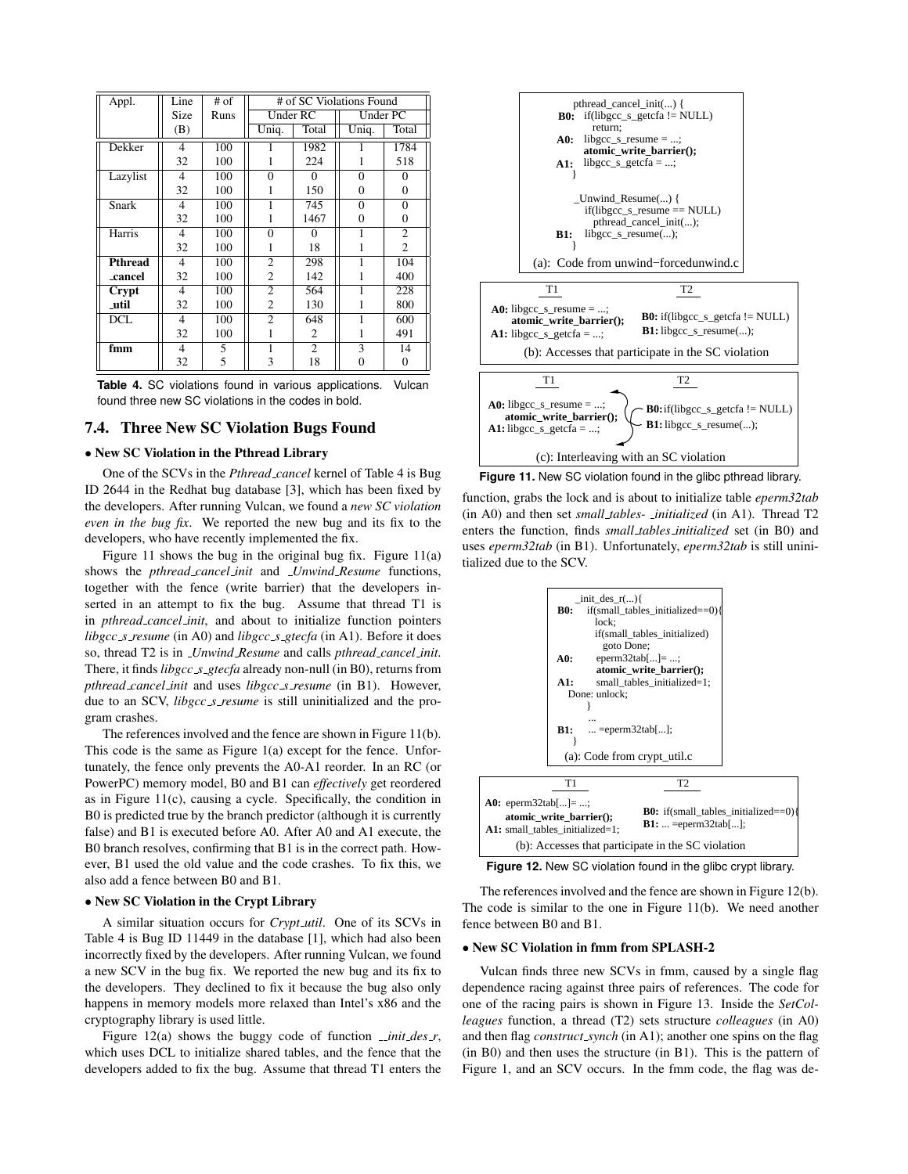| Appl.          | Line | $#$ of | # of SC Violations Found |          |          |                |
|----------------|------|--------|--------------------------|----------|----------|----------------|
|                | Size | Runs   | Under RC                 |          | Under PC |                |
|                | (B)  |        | Uniq.                    | Total    | Uniq.    | Total          |
| Dekker         | 4    | 100    |                          | 1982     |          | 1784           |
|                | 32   | 100    | 1                        | 224      | 1        | 518            |
| Lazylist       | 4    | 100    | $\Omega$                 | $\Omega$ | $\Omega$ | 0              |
|                | 32   | 100    |                          | 150      | 0        | $\Omega$       |
| Snark          | 4    | 100    |                          | 745      | $\theta$ | $\Omega$       |
|                | 32   | 100    |                          | 1467     | 0        | $\Omega$       |
| Harris         | 4    | 100    | $\Omega$                 | $\Omega$ | 1        | $\overline{2}$ |
|                | 32   | 100    | 1                        | 18       | 1        | $\mathfrak{D}$ |
| <b>Pthread</b> | 4    | 100    | $\overline{c}$           | 298      |          | 104            |
| _cancel        | 32   | 100    | $\overline{c}$           | 142      | 1        | 400            |
| Crypt          | 4    | 100    | $\overline{c}$           | 564      |          | 228            |
| _util          | 32   | 100    | $\overline{c}$           | 130      |          | 800            |
| DCL            | 4    | 100    | $\overline{c}$           | 648      | 1        | 600            |
|                | 32   | 100    | 1                        | 2        | 1        | 491            |
| fmm            | 4    | 5      |                          | 2        | 3        | 14             |
|                | 32   | 5      | 3                        | 18       | 0        | $\Omega$       |

**Table 4.** SC violations found in various applications. Vulcan found three new SC violations in the codes in bold.

## 7.4. Three New SC Violation Bugs Found

## • New SC Violation in the Pthread Library

One of the SCVs in the *Pthread cancel* kernel of Table 4 is Bug ID 2644 in the Redhat bug database [3], which has been fixed by the developers. After running Vulcan, we found a *new SC violation even in the bug fix*. We reported the new bug and its fix to the developers, who have recently implemented the fix.

Figure 11 shows the bug in the original bug fix. Figure 11(a) shows the *pthread cancel init* and *Unwind Resume* functions, together with the fence (write barrier) that the developers inserted in an attempt to fix the bug. Assume that thread T1 is in *pthread cancel init*, and about to initialize function pointers *libgcc s resume* (in A0) and *libgcc s gtecfa* (in A1). Before it does so, thread T2 is in *Unwind Resume* and calls *pthread cancel init*. There, it finds *libgcc s gtecfa* already non-null (in B0), returns from *pthread cancel init* and uses *libgcc s resume* (in B1). However, due to an SCV, *libgcc\_s\_resume* is still uninitialized and the program crashes.

The references involved and the fence are shown in Figure 11(b). This code is the same as Figure  $1(a)$  except for the fence. Unfortunately, the fence only prevents the A0-A1 reorder. In an RC (or PowerPC) memory model, B0 and B1 can *effectively* get reordered as in Figure 11(c), causing a cycle. Specifically, the condition in B0 is predicted true by the branch predictor (although it is currently false) and B1 is executed before A0. After A0 and A1 execute, the B0 branch resolves, confirming that B1 is in the correct path. However, B1 used the old value and the code crashes. To fix this, we also add a fence between B0 and B1.

# • New SC Violation in the Crypt Library

A similar situation occurs for *Crypt util*. One of its SCVs in Table 4 is Bug ID 11449 in the database [1], which had also been incorrectly fixed by the developers. After running Vulcan, we found a new SCV in the bug fix. We reported the new bug and its fix to the developers. They declined to fix it because the bug also only happens in memory models more relaxed than Intel's x86 and the cryptography library is used little.

Figure 12(a) shows the buggy code of function *init des r*, which uses DCL to initialize shared tables, and the fence that the



function, grabs the lock and is about to initialize table *eperm32tab* (in A0) and then set *small tables- initialized* (in A1). Thread T2 enters the function, finds *small tables initialized* set (in B0) and uses *eperm32tab* (in B1). Unfortunately, *eperm32tab* is still uninitialized due to the SCV.



**Figure 12.** New SC violation found in the glibc crypt library.

The references involved and the fence are shown in Figure 12(b). The code is similar to the one in Figure 11(b). We need another fence between B0 and B1.

#### • New SC Violation in fmm from SPLASH-2

Vulcan finds three new SCVs in fmm, caused by a single flag dependence racing against three pairs of references. The code for one of the racing pairs is shown in Figure 13. Inside the *SetColleagues* function, a thread (T2) sets structure *colleagues* (in A0) and then flag *construct synch* (in A1); another one spins on the flag (in B0) and then uses the structure (in B1). This is the pattern of Figure 1, and an SCV occurs. In the fmm code, the flag was de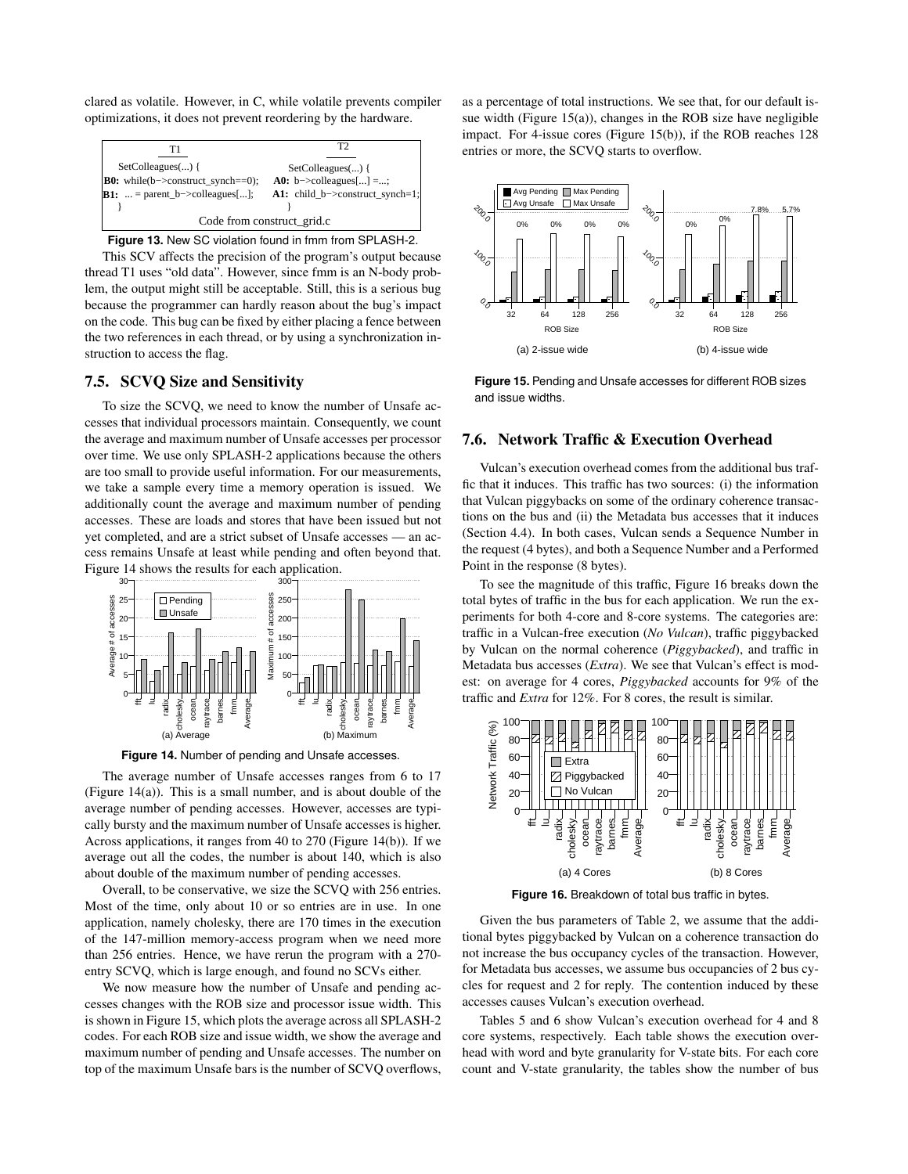clared as volatile. However, in C, while volatile prevents compiler optimizations, it does not prevent reordering by the hardware.



**Figure 13.** New SC violation found in fmm from SPLASH-2.

This SCV affects the precision of the program's output because thread T1 uses "old data". However, since fmm is an N-body problem, the output might still be acceptable. Still, this is a serious bug because the programmer can hardly reason about the bug's impact on the code. This bug can be fixed by either placing a fence between the two references in each thread, or by using a synchronization instruction to access the flag.

# 7.5. SCVQ Size and Sensitivity

To size the SCVQ, we need to know the number of Unsafe accesses that individual processors maintain. Consequently, we count the average and maximum number of Unsafe accesses per processor over time. We use only SPLASH-2 applications because the others are too small to provide useful information. For our measurements, we take a sample every time a memory operation is issued. We additionally count the average and maximum number of pending accesses. These are loads and stores that have been issued but not yet completed, and are a strict subset of Unsafe accesses — an access remains Unsafe at least while pending and often beyond that. Figure 14 shows the results for each application.



**Figure 14.** Number of pending and Unsafe accesses.

The average number of Unsafe accesses ranges from 6 to 17 (Figure 14(a)). This is a small number, and is about double of the average number of pending accesses. However, accesses are typically bursty and the maximum number of Unsafe accesses is higher. Across applications, it ranges from 40 to 270 (Figure 14(b)). If we average out all the codes, the number is about 140, which is also about double of the maximum number of pending accesses.

Overall, to be conservative, we size the SCVQ with 256 entries. Most of the time, only about 10 or so entries are in use. In one application, namely cholesky, there are 170 times in the execution of the 147-million memory-access program when we need more than 256 entries. Hence, we have rerun the program with a 270 entry SCVQ, which is large enough, and found no SCVs either.

We now measure how the number of Unsafe and pending accesses changes with the ROB size and processor issue width. This is shown in Figure 15, which plots the average across all SPLASH-2 codes. For each ROB size and issue width, we show the average and maximum number of pending and Unsafe accesses. The number on top of the maximum Unsafe bars is the number of SCVQ overflows, as a percentage of total instructions. We see that, for our default issue width (Figure 15(a)), changes in the ROB size have negligible impact. For 4-issue cores (Figure 15(b)), if the ROB reaches 128 entries or more, the SCVQ starts to overflow.



**Figure 15.** Pending and Unsafe accesses for different ROB sizes and issue widths.

# 7.6. Network Traffic & Execution Overhead

Vulcan's execution overhead comes from the additional bus traffic that it induces. This traffic has two sources: (i) the information that Vulcan piggybacks on some of the ordinary coherence transactions on the bus and (ii) the Metadata bus accesses that it induces (Section 4.4). In both cases, Vulcan sends a Sequence Number in the request (4 bytes), and both a Sequence Number and a Performed Point in the response (8 bytes).

To see the magnitude of this traffic, Figure 16 breaks down the total bytes of traffic in the bus for each application. We run the experiments for both 4-core and 8-core systems. The categories are: traffic in a Vulcan-free execution (*No Vulcan*), traffic piggybacked by Vulcan on the normal coherence (*Piggybacked*), and traffic in Metadata bus accesses (*Extra*). We see that Vulcan's effect is modest: on average for 4 cores, *Piggybacked* accounts for 9% of the traffic and *Extra* for 12%. For 8 cores, the result is similar.



**Figure 16.** Breakdown of total bus traffic in bytes.

Given the bus parameters of Table 2, we assume that the additional bytes piggybacked by Vulcan on a coherence transaction do not increase the bus occupancy cycles of the transaction. However, for Metadata bus accesses, we assume bus occupancies of 2 bus cycles for request and 2 for reply. The contention induced by these accesses causes Vulcan's execution overhead.

Tables 5 and 6 show Vulcan's execution overhead for 4 and 8 core systems, respectively. Each table shows the execution overhead with word and byte granularity for V-state bits. For each core count and V-state granularity, the tables show the number of bus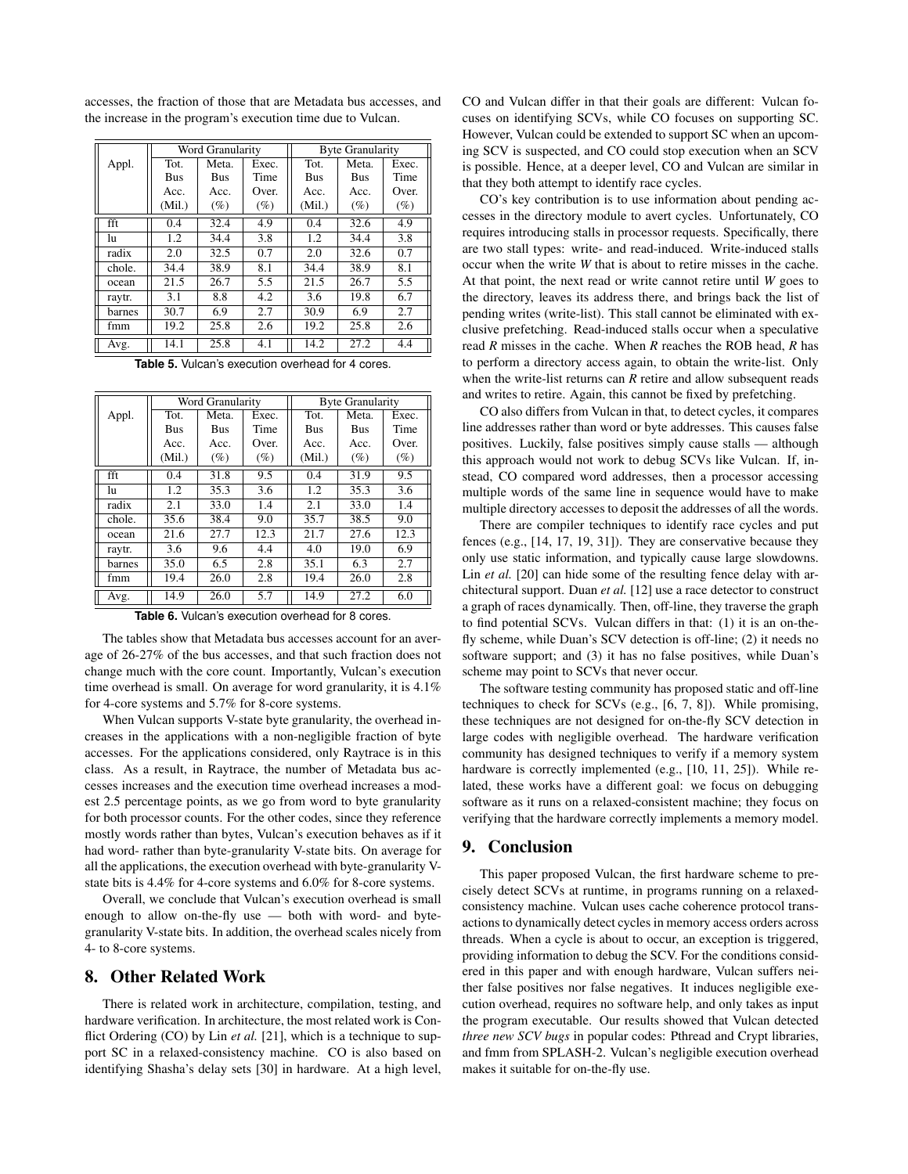accesses, the fraction of those that are Metadata bus accesses, and the increase in the program's execution time due to Vulcan.

|        | Word Granularity |            |       | <b>Byte Granularity</b> |            |        |
|--------|------------------|------------|-------|-------------------------|------------|--------|
| Appl.  | Tot.             | Meta.      | Exec. | Tot.                    | Meta.      | Exec.  |
|        | Bus              | <b>Bus</b> | Time  | Bus                     | <b>Bus</b> | Time   |
|        | Acc.             | Acc.       | Over. | Acc.                    | Acc.       | Over.  |
|        | (Mil.)           | $(\%)$     | (%)   | (Mil.)                  | (%)        | $(\%)$ |
| fft    | 0.4              | 32.4       | 4.9   | 0.4                     | 32.6       | 4.9    |
| lu     | 1.2              | 34.4       | 3.8   | 1.2                     | 34.4       | 3.8    |
| radix  | 2.0              | 32.5       | 0.7   | 2.0                     | 32.6       | 0.7    |
| chole. | 34.4             | 38.9       | 8.1   | 34.4                    | 38.9       | 8.1    |
| ocean  | 21.5             | 26.7       | 5.5   | 21.5                    | 26.7       | 5.5    |
| raytr. | 3.1              | 8.8        | 4.2   | 3.6                     | 19.8       | 6.7    |
| barnes | 30.7             | 6.9        | 2.7   | 30.9                    | 6.9        | 2.7    |
| fmm    | 19.2             | 25.8       | 2.6   | 19.2                    | 25.8       | 2.6    |
| Avg.   | 14.1             | 25.8       | 4.1   | 14.2                    | 27.2       | 4.4    |

**Table 5.** Vulcan's execution overhead for 4 cores.

|        | Word Granularity |            |       | <b>Byte Granularity</b> |            |        |  |
|--------|------------------|------------|-------|-------------------------|------------|--------|--|
| Appl.  | Tot.             | Meta.      | Exec. | Tot.                    | Meta.      | Exec.  |  |
|        | <b>Bus</b>       | <b>Bus</b> | Time  | <b>Bus</b>              | <b>Bus</b> | Time   |  |
|        | Acc.             | Acc.       | Over. | Acc.                    | Acc.       | Over.  |  |
|        | (Mil.)           | (%)        | (%)   | (Mil.)                  | $(\%)$     | $(\%)$ |  |
| fft    | 0.4              | 31.8       | 9.5   | 0.4                     | 31.9       | 9.5    |  |
| lu     | 1.2              | 35.3       | 3.6   | 1.2                     | 35.3       | 3.6    |  |
| radix  | 2.1              | 33.0       | 1.4   | 2.1                     | 33.0       | 1.4    |  |
| chole. | 35.6             | 38.4       | 9.0   | 35.7                    | 38.5       | 9.0    |  |
| ocean  | 21.6             | 27.7       | 12.3  | 21.7                    | 27.6       | 12.3   |  |
| raytr. | 3.6              | 9.6        | 4.4   | 4.0                     | 19.0       | 6.9    |  |
| barnes | 35.0             | 6.5        | 2.8   | 35.1                    | 6.3        | 2.7    |  |
| fmm    | 19.4             | 26.0       | 2.8   | 19.4                    | 26.0       | 2.8    |  |
| Avg.   | 14.9             | 26.0       | 5.7   | 14.9                    | 27.2       | 6.0    |  |

Table 6. Vulcan's execution overhead for 8 cores.

The tables show that Metadata bus accesses account for an average of 26-27% of the bus accesses, and that such fraction does not change much with the core count. Importantly, Vulcan's execution time overhead is small. On average for word granularity, it is 4.1% for 4-core systems and 5.7% for 8-core systems.

When Vulcan supports V-state byte granularity, the overhead increases in the applications with a non-negligible fraction of byte accesses. For the applications considered, only Raytrace is in this class. As a result, in Raytrace, the number of Metadata bus accesses increases and the execution time overhead increases a modest 2.5 percentage points, as we go from word to byte granularity for both processor counts. For the other codes, since they reference mostly words rather than bytes, Vulcan's execution behaves as if it had word- rather than byte-granularity V-state bits. On average for all the applications, the execution overhead with byte-granularity Vstate bits is 4.4% for 4-core systems and 6.0% for 8-core systems.

Overall, we conclude that Vulcan's execution overhead is small enough to allow on-the-fly use — both with word- and bytegranularity V-state bits. In addition, the overhead scales nicely from 4- to 8-core systems.

# 8. Other Related Work

There is related work in architecture, compilation, testing, and hardware verification. In architecture, the most related work is Conflict Ordering (CO) by Lin *et al.* [21], which is a technique to support SC in a relaxed-consistency machine. CO is also based on identifying Shasha's delay sets [30] in hardware. At a high level, CO and Vulcan differ in that their goals are different: Vulcan focuses on identifying SCVs, while CO focuses on supporting SC. However, Vulcan could be extended to support SC when an upcoming SCV is suspected, and CO could stop execution when an SCV is possible. Hence, at a deeper level, CO and Vulcan are similar in that they both attempt to identify race cycles.

CO's key contribution is to use information about pending accesses in the directory module to avert cycles. Unfortunately, CO requires introducing stalls in processor requests. Specifically, there are two stall types: write- and read-induced. Write-induced stalls occur when the write *W* that is about to retire misses in the cache. At that point, the next read or write cannot retire until *W* goes to the directory, leaves its address there, and brings back the list of pending writes (write-list). This stall cannot be eliminated with exclusive prefetching. Read-induced stalls occur when a speculative read *R* misses in the cache. When *R* reaches the ROB head, *R* has to perform a directory access again, to obtain the write-list. Only when the write-list returns can *R* retire and allow subsequent reads and writes to retire. Again, this cannot be fixed by prefetching.

CO also differs from Vulcan in that, to detect cycles, it compares line addresses rather than word or byte addresses. This causes false positives. Luckily, false positives simply cause stalls — although this approach would not work to debug SCVs like Vulcan. If, instead, CO compared word addresses, then a processor accessing multiple words of the same line in sequence would have to make multiple directory accesses to deposit the addresses of all the words.

There are compiler techniques to identify race cycles and put fences (e.g., [14, 17, 19, 31]). They are conservative because they only use static information, and typically cause large slowdowns. Lin *et al.* [20] can hide some of the resulting fence delay with architectural support. Duan *et al.* [12] use a race detector to construct a graph of races dynamically. Then, off-line, they traverse the graph to find potential SCVs. Vulcan differs in that: (1) it is an on-thefly scheme, while Duan's SCV detection is off-line; (2) it needs no software support; and (3) it has no false positives, while Duan's scheme may point to SCVs that never occur.

The software testing community has proposed static and off-line techniques to check for SCVs (e.g., [6, 7, 8]). While promising, these techniques are not designed for on-the-fly SCV detection in large codes with negligible overhead. The hardware verification community has designed techniques to verify if a memory system hardware is correctly implemented (e.g., [10, 11, 25]). While related, these works have a different goal: we focus on debugging software as it runs on a relaxed-consistent machine; they focus on verifying that the hardware correctly implements a memory model.

# 9. Conclusion

This paper proposed Vulcan, the first hardware scheme to precisely detect SCVs at runtime, in programs running on a relaxedconsistency machine. Vulcan uses cache coherence protocol transactions to dynamically detect cycles in memory access orders across threads. When a cycle is about to occur, an exception is triggered, providing information to debug the SCV. For the conditions considered in this paper and with enough hardware, Vulcan suffers neither false positives nor false negatives. It induces negligible execution overhead, requires no software help, and only takes as input the program executable. Our results showed that Vulcan detected *three new SCV bugs* in popular codes: Pthread and Crypt libraries, and fmm from SPLASH-2. Vulcan's negligible execution overhead makes it suitable for on-the-fly use.